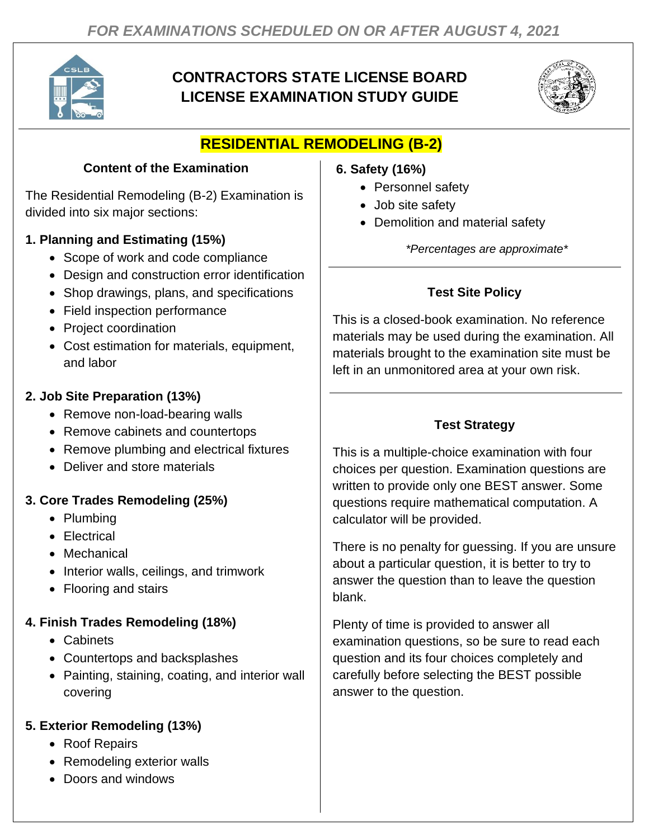

# **CONTRACTORS STATE LICENSE BOARD LICENSE EXAMINATION STUDY GUIDE**



# **RESIDENTIAL REMODELING (B-2)**

### **Content of the Examination**

The Residential Remodeling (B-2) Examination is divided into six major sections:

### **1. Planning and Estimating (15%)**

- Scope of work and code compliance
- Design and construction error identification
- Shop drawings, plans, and specifications
- Field inspection performance
- Project coordination
- Cost estimation for materials, equipment, and labor

## **2. Job Site Preparation (13%)**

- Remove non-load-bearing walls
- Remove cabinets and countertops
- Remove plumbing and electrical fixtures
- Deliver and store materials

# **3. Core Trades Remodeling (25%)**

- Plumbing
- Electrical
- Mechanical
- Interior walls, ceilings, and trimwork
- Flooring and stairs

## **4. Finish Trades Remodeling (18%)**

- Cabinets
- Countertops and backsplashes
- Painting, staining, coating, and interior wall covering

# **5. Exterior Remodeling (13%)**

- Roof Repairs
- Remodeling exterior walls
- Doors and windows

### **6. Safety (16%)**

- Personnel safety
- Job site safety
- Demolition and material safety

*\*Percentages are approximate\**

# **Test Site Policy**

This is a closed-book examination. No reference materials may be used during the examination. All materials brought to the examination site must be left in an unmonitored area at your own risk.

## **Test Strategy**

This is a multiple-choice examination with four choices per question. Examination questions are written to provide only one BEST answer. Some questions require mathematical computation. A calculator will be provided.

There is no penalty for guessing. If you are unsure about a particular question, it is better to try to answer the question than to leave the question blank.

Plenty of time is provided to answer all examination questions, so be sure to read each question and its four choices completely and carefully before selecting the BEST possible answer to the question.